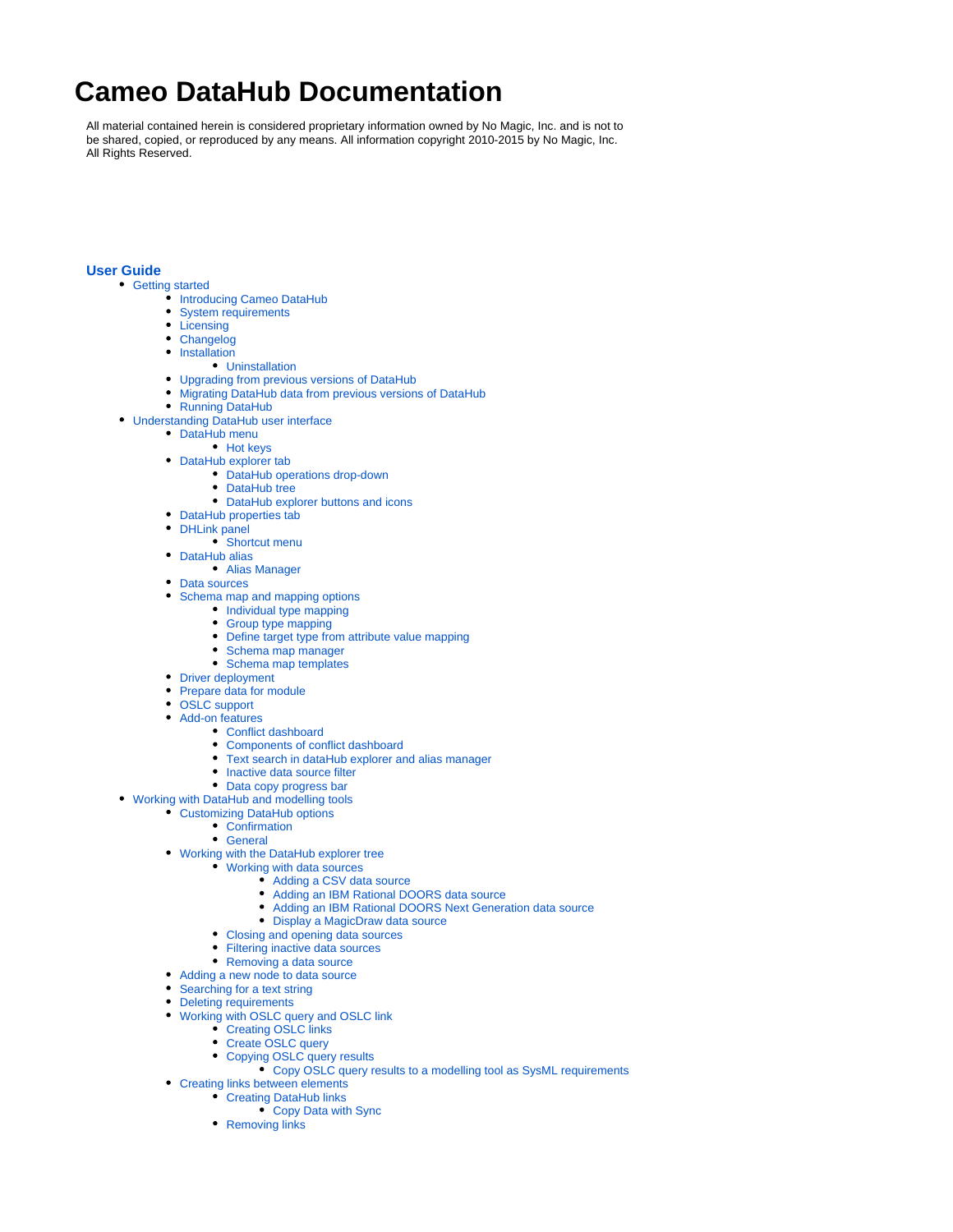## **Cameo DataHub Documentation**

All material contained herein is considered proprietary information owned by No Magic, Inc. and is not to be shared, copied, or reproduced by any means. All information copyright 2010-2015 by No Magic, Inc. All Rights Reserved.

## **[User Guide](https://docs.nomagic.com/display/CDH182/User+Guide)**

- [Getting started](https://docs.nomagic.com/display/CDH182/Getting+started)
	- **[Introducing Cameo DataHub](https://docs.nomagic.com/display/CDH182/Introducing+Cameo+DataHub)**
	- $\bullet$ [System requirements](https://docs.nomagic.com/display/CDH182/System+requirements)
	- [Licensing](https://docs.nomagic.com/display/CDH182/Licensing)
	- [Changelog](https://docs.nomagic.com/display/CDH182/Changelog)
	- [Installation](https://docs.nomagic.com/display/CDH182/Installation)
		- [Uninstallation](https://docs.nomagic.com/display/CDH182/Uninstallation)
	- [Upgrading from previous versions of DataHub](https://docs.nomagic.com/display/CDH182/Upgrading+from+previous+versions+of+DataHub)
	- [Migrating DataHub data from previous versions of DataHub](https://docs.nomagic.com/display/CDH182/Migrating+DataHub+data+from+previous+versions+of+DataHub)
	- [Running DataHub](https://docs.nomagic.com/display/CDH182/Running+DataHub)
- [Understanding DataHub user interface](https://docs.nomagic.com/display/CDH182/Understanding+DataHub+user+interface)
	- [DataHub menu](https://docs.nomagic.com/display/CDH182/DataHub+menu)
		- [Hot keys](https://docs.nomagic.com/display/CDH182/Hot+keys)
	- [DataHub explorer tab](https://docs.nomagic.com/display/CDH182/DataHub+explorer+tab)
		- [DataHub operations drop-down](https://docs.nomagic.com/display/CDH182/DataHub+operations+drop-down)
		- [DataHub tree](https://docs.nomagic.com/display/CDH182/DataHub+tree)
		- [DataHub explorer buttons and icons](https://docs.nomagic.com/display/CDH182/DataHub+explorer+buttons+and+icons)
	- [DataHub properties tab](https://docs.nomagic.com/display/CDH182/DataHub+properties+tab)
	- [DHLink panel](https://docs.nomagic.com/display/CDH182/DHLink+panel)
		- [Shortcut menu](https://docs.nomagic.com/display/CDH182/Shortcut+menu)
	- [DataHub alias](https://docs.nomagic.com/display/CDH182/DataHub+alias)
	- [Alias Manager](https://docs.nomagic.com/display/CDH182/Alias+Manager) • [Data sources](https://docs.nomagic.com/display/CDH182/Data+sources)
	-
	- [Schema map and mapping options](https://docs.nomagic.com/display/CDH182/Schema+map+and+mapping+options) • [Individual type mapping](https://docs.nomagic.com/display/CDH182/Individual+type+mapping)
		- [Group type mapping](https://docs.nomagic.com/display/CDH182/Group+type+mapping)
		- [Define target type from attribute value mapping](https://docs.nomagic.com/display/CDH182/Define+target+type+from+attribute+value+mapping)
		- [Schema map manager](https://docs.nomagic.com/display/CDH182/Schema+map+manager)
		- [Schema map templates](https://docs.nomagic.com/display/CDH182/Schema+map+templates)
	- [Driver deployment](https://docs.nomagic.com/display/CDH182/Driver+deployment)
	- [Prepare data for module](https://docs.nomagic.com/display/CDH182/Prepare+data+for+module)
	- $\bullet$
	- [OSLC support](https://docs.nomagic.com/display/CDH182/OSLC+support)
	- [Add-on features](https://docs.nomagic.com/display/CDH182/Add-on+features)
		- [Conflict dashboard](https://docs.nomagic.com/display/CDH182/Conflict+dashboard)
		- [Components of conflict dashboard](https://docs.nomagic.com/display/CDH182/Components+of+conflict+dashboard)  $\bullet$
		- [Text search in dataHub explorer and alias manager](https://docs.nomagic.com/display/CDH182/Text+search+in+dataHub+explorer+and+alias+manager)
		- [Inactive data source filter](https://docs.nomagic.com/display/CDH182/Inactive+data+source+filter)
		- [Data copy progress bar](https://docs.nomagic.com/display/CDH182/Data+copy+progress+bar)
- [Working with DataHub and modelling tools](https://docs.nomagic.com/display/CDH182/Working+with+DataHub+and+modelling+tools)
	- [Customizing DataHub options](https://docs.nomagic.com/display/CDH182/Customizing+DataHub+options)
		- [Confirmation](https://docs.nomagic.com/display/CDH182/Confirmation)
		- [General](https://docs.nomagic.com/display/CDH182/General)
	- [Working with the DataHub explorer tree](https://docs.nomagic.com/display/CDH182/Working+with+the+DataHub+explorer+tree)
		- [Working with data sources](https://docs.nomagic.com/display/CDH182/Working+with+data+sources)
			- [Adding a CSV data source](https://docs.nomagic.com/display/CDH182/Adding+a+CSV+data+source)
			- [Adding an IBM Rational DOORS data source](https://docs.nomagic.com/display/CDH182/Adding+an+IBM+Rational+DOORS+data+source)
			- $\bullet$ [Adding an IBM Rational DOORS Next Generation data source](https://docs.nomagic.com/display/CDH182/Adding+an+IBM+Rational+DOORS+Next+Generation+data+source)
			- [Display a MagicDraw data source](https://docs.nomagic.com/display/CDH182/Display+a+MagicDraw+data+source)
		- [Closing and opening data sources](https://docs.nomagic.com/display/CDH182/Closing+and+opening+data+sources)
		- [Filtering inactive data sources](https://docs.nomagic.com/display/CDH182/Filtering+inactive+data+sources)
		- [Removing a data source](https://docs.nomagic.com/display/CDH182/Removing+a+data+source)
	- [Adding a new node to data source](https://docs.nomagic.com/display/CDH182/Adding+a+new+node+to+data+source)
	- [Searching for a text string](https://docs.nomagic.com/display/CDH182/Searching+for+a+text+string)
	- $\bullet$ [Deleting requirements](https://docs.nomagic.com/display/CDH182/Deleting+requirements)
	- [Working with OSLC query and OSLC link](https://docs.nomagic.com/display/CDH182/Working+with+OSLC+query+and+OSLC+link)
		- [Creating OSLC links](https://docs.nomagic.com/display/CDH182/Creating+OSLC+links)
		- [Create OSLC query](https://docs.nomagic.com/display/CDH182/Create+OSLC+query)
		- [Copying OSLC query results](https://docs.nomagic.com/display/CDH182/Copying+OSLC+query+results)
			- [Copy OSLC query results to a modelling tool as SysML requirements](https://docs.nomagic.com/display/CDH182/Copy+OSLC+query+results+to+a+modelling+tool+as+SysML+requirements)
	- [Creating links between elements](https://docs.nomagic.com/display/CDH182/Creating+links+between+elements)
		- [Creating DataHub links](https://docs.nomagic.com/display/CDH182/Creating+DataHub+links)
			- [Copy Data with Sync](https://docs.nomagic.com/display/CDH182/Copy+Data+with+Sync)
			- [Removing links](https://docs.nomagic.com/display/CDH182/Removing+links)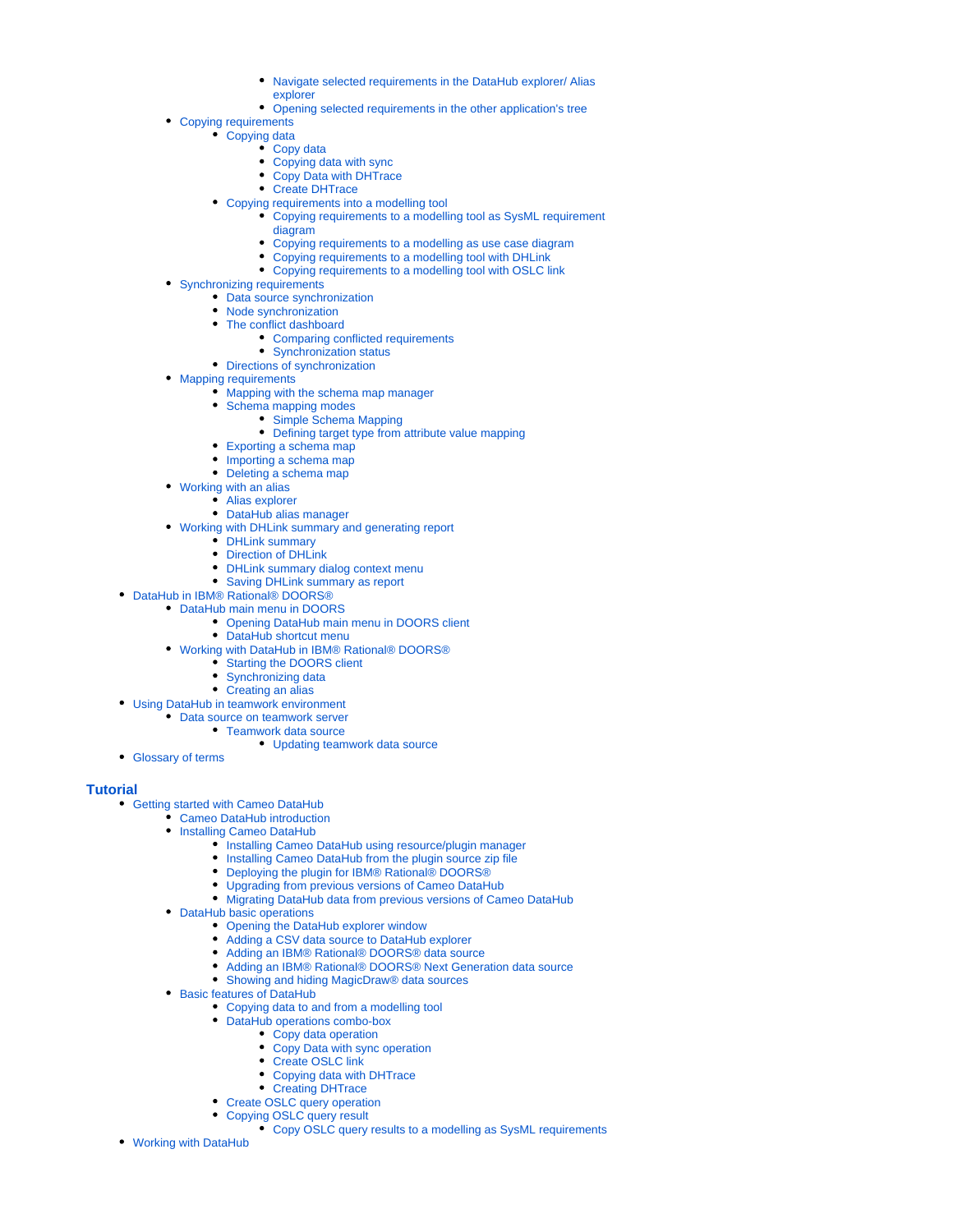- [Navigate selected requirements in the DataHub explorer/ Alias](https://docs.nomagic.com/pages/viewpage.action?pageId=4499878)
- [explorer](https://docs.nomagic.com/pages/viewpage.action?pageId=4499878)
- [Opening selected requirements in the other application's tree](https://docs.nomagic.com/display/CDH182/Opening+selected+requirements+in+the+other+application%27s+tree)
- [Copying requirements](https://docs.nomagic.com/display/CDH182/Copying+requirements)
	- [Copying data](https://docs.nomagic.com/display/CDH182/Copying+data)
		- [Copy data](https://docs.nomagic.com/display/CDH182/Copy+data)
		- [Copying data with sync](https://docs.nomagic.com/display/CDH182/Copying+data+with+sync)
		- [Copy Data with DHTrace](https://docs.nomagic.com/display/CDH182/Copy+Data+with+DHTrace)
		- [Create DHTrace](https://docs.nomagic.com/display/CDH182/Create+DHTrace)
	- [Copying requirements into a modelling tool](https://docs.nomagic.com/display/CDH182/Copying+requirements+into+a+modelling+tool)
		- [Copying requirements to a modelling tool as SysML requirement](https://docs.nomagic.com/display/CDH182/Copying+requirements+to+a+modelling+tool+as+SysML+requirement+diagram)  [diagram](https://docs.nomagic.com/display/CDH182/Copying+requirements+to+a+modelling+tool+as+SysML+requirement+diagram)
		- [Copying requirements to a modelling as use case diagram](https://docs.nomagic.com/display/CDH182/Copying+requirements+to+a+modelling+as+use+case+diagram)
		- [Copying requirements to a modelling tool with DHLink](https://docs.nomagic.com/display/CDH182/Copying+requirements+to+a+modelling+tool+with+DHLink)
		- [Copying requirements to a modelling tool with OSLC link](https://docs.nomagic.com/display/CDH182/Copying+requirements+to+a+modelling+tool+with+OSLC+link)
- [Synchronizing requirements](https://docs.nomagic.com/display/CDH182/Synchronizing+requirements)
	- [Data source synchronization](https://docs.nomagic.com/display/CDH182/Data+source+synchronization)
	- [Node synchronization](https://docs.nomagic.com/display/CDH182/Node+synchronization)
	- [The conflict dashboard](https://docs.nomagic.com/display/CDH182/The+conflict+dashboard)
		- [Comparing conflicted requirements](https://docs.nomagic.com/display/CDH182/Comparing+conflicted+requirements)
		- [Synchronization status](https://docs.nomagic.com/display/CDH182/Synchronization+status)
	- [Directions of synchronization](https://docs.nomagic.com/display/CDH182/Directions+of+synchronization)
- [Mapping requirements](https://docs.nomagic.com/display/CDH182/Mapping+requirements)
	- [Mapping with the schema map manager](https://docs.nomagic.com/display/CDH182/Mapping+with+the+schema+map+manager)
	- [Schema mapping modes](https://docs.nomagic.com/display/CDH182/Schema+mapping+modes)
		- [Simple Schema Mapping](https://docs.nomagic.com/display/CDH182/Simple+Schema+Mapping)
		- [Defining target type from attribute value mapping](https://docs.nomagic.com/display/CDH182/Defining+target+type+from+attribute+value+mapping)
	- [Exporting a schema map](https://docs.nomagic.com/display/CDH182/Exporting+a+schema+map)
	- [Importing a schema map](https://docs.nomagic.com/display/CDH182/Importing+a+schema+map)
	- [Deleting a schema map](https://docs.nomagic.com/display/CDH182/Deleting+a+schema+map)
- [Working with an alias](https://docs.nomagic.com/display/CDH182/Working+with+an+alias)
	- [Alias explorer](https://docs.nomagic.com/display/CDH182/Alias+explorer)
- [DataHub alias manager](https://docs.nomagic.com/display/CDH182/DataHub+alias+manager)
- [Working with DHLink summary and generating report](https://docs.nomagic.com/display/CDH182/Working+with+DHLink+summary+and+generating+report)
	- [DHLink summary](https://docs.nomagic.com/display/CDH182/DHLink+summary)
	- [Direction of DHLink](https://docs.nomagic.com/display/CDH182/Direction+of+DHLink)
	- [DHLink summary dialog context menu](https://docs.nomagic.com/display/CDH182/DHLink+summary+dialog+context+menu)
	- [Saving DHLink summary as report](https://docs.nomagic.com/display/CDH182/Saving+DHLink+summary+as+report)
- [DataHub in IBM® Rational® DOORS®](https://docs.nomagic.com/pages/viewpage.action?pageId=4499695)
	- [DataHub main menu in DOORS](https://docs.nomagic.com/display/CDH182/DataHub+main+menu+in+DOORS)
		- [Opening DataHub main menu in DOORS client](https://docs.nomagic.com/display/CDH182/Opening+DataHub+main+menu+in+DOORS+client)
		- [DataHub shortcut menu](https://docs.nomagic.com/display/CDH182/DataHub+shortcut+menu)
	- [Working with DataHub in IBM® Rational® DOORS®](https://docs.nomagic.com/pages/viewpage.action?pageId=4499708)
		- [Starting the DOORS client](https://docs.nomagic.com/display/CDH182/Starting+the+DOORS+client)
		- [Synchronizing data](https://docs.nomagic.com/display/CDH182/Synchronizing+data)
		- [Creating an alias](https://docs.nomagic.com/display/CDH182/Creating+an+alias)
- [Using DataHub in teamwork environment](https://docs.nomagic.com/display/CDH182/Using+DataHub+in+teamwork+environment)
	- [Data source on teamwork server](https://docs.nomagic.com/display/CDH182/Data+source+on+teamwork+server)
		- [Teamwork data source](https://docs.nomagic.com/display/CDH182/Teamwork+data+source)
			- [Updating teamwork data source](https://docs.nomagic.com/display/CDH182/Updating+teamwork+data+source)
- [Glossary of terms](https://docs.nomagic.com/display/CDH182/Glossary+of+terms)

## **[Tutorial](https://docs.nomagic.com/display/CDH182/Tutorial)**

- [Getting started with Cameo DataHub](https://docs.nomagic.com/display/CDH182/Getting+started+with+Cameo+DataHub)
	- [Cameo DataHub introduction](https://docs.nomagic.com/display/CDH182/Cameo+DataHub+introduction)
	- **[Installing Cameo DataHub](https://docs.nomagic.com/display/CDH182/Installing+Cameo+DataHub)** 
		- $\bullet$  [Installing Cameo DataHub using resource/plugin manager](https://docs.nomagic.com/pages/viewpage.action?pageId=4500128)
		- $\bullet$ [Installing Cameo DataHub from the plugin source zip file](https://docs.nomagic.com/display/CDH182/Installing+Cameo+DataHub+from+the+plugin+source+zip+file)
		- [Deploying the plugin for IBM® Rational® DOORS®](https://docs.nomagic.com/pages/viewpage.action?pageId=4500121)
		- [Upgrading from previous versions of Cameo DataHub](https://docs.nomagic.com/display/CDH182/Upgrading+from+previous+versions+of+Cameo+DataHub)
		- [Migrating DataHub data from previous versions of Cameo DataHub](https://docs.nomagic.com/display/CDH182/Migrating+DataHub+data+from+previous+versions+of+Cameo+DataHub)
	- [DataHub basic operations](https://docs.nomagic.com/display/CDH182/DataHub+basic+operations)
		- [Opening the DataHub explorer window](https://docs.nomagic.com/display/CDH182/Opening+the+DataHub+explorer+window)
		- $\bullet$ [Adding a CSV data source to DataHub explorer](https://docs.nomagic.com/display/CDH182/Adding+a+CSV+data+source+to+DataHub+explorer)
		- [Adding an IBM® Rational® DOORS® data source](https://docs.nomagic.com/pages/viewpage.action?pageId=4500107)  $\bullet$
		- [Adding an IBM® Rational® DOORS® Next Generation data source](https://docs.nomagic.com/pages/viewpage.action?pageId=4500110)
		- [Showing and hiding MagicDraw® data sources](https://docs.nomagic.com/pages/viewpage.action?pageId=4500115)
	- [Basic features of DataHub](https://docs.nomagic.com/display/CDH182/Basic+features+of+DataHub)
		- [Copying data to and from a modelling tool](https://docs.nomagic.com/display/CDH182/Copying+data+to+and+from+a+modelling+tool)
		- [DataHub operations combo-box](https://docs.nomagic.com/display/CDH182/DataHub+operations+combo-box)
			- [Copy data operation](https://docs.nomagic.com/display/CDH182/Copy+data+operation)
			- [Copy Data with sync operation](https://docs.nomagic.com/display/CDH182/Copy+Data+with+sync+operation)
			- [Create OSLC link](https://docs.nomagic.com/display/CDH182/Create+OSLC+link)
			- [Copying data with DHTrace](https://docs.nomagic.com/display/CDH182/Copying+data+with+DHTrace)
			- [Creating DHTrace](https://docs.nomagic.com/display/CDH182/Creating+DHTrace)
		- [Create OSLC query operation](https://docs.nomagic.com/display/CDH182/Create+OSLC+query+operation)
		- [Copying OSLC query result](https://docs.nomagic.com/display/CDH182/Copying+OSLC+query+result)
			- [Copy OSLC query results to a modelling as SysML requirements](https://docs.nomagic.com/display/CDH182/Copy+OSLC+query+results+to+a+modelling+as+SysML+requirements)
- [Working with DataHub](https://docs.nomagic.com/display/CDH182/Working+with+DataHub)